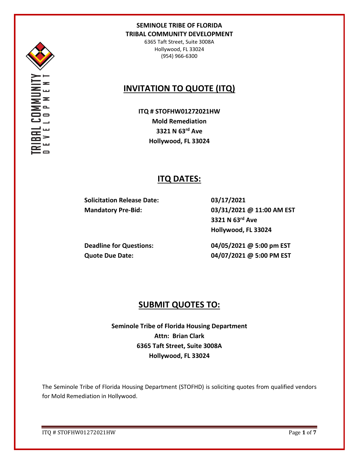

Σ

## **SEMINOLE TRIBE OF FLORIDA TRIBAL COMMUNITY DEVELOPMENT**

6365 Taft Street, Suite 3008A Hollywood, FL 33024 (954) 966-6300

# **INVITATION TO QUOTE (ITQ)**

**ITQ # STOFHW01272021HW Mold Remediation 3321 N 63rd Ave Hollywood, FL 33024**

# **ITQ DATES:**

**Solicitation Release Date: 03/17/2021**

**Mandatory Pre-Bid: 03/31/2021 @ 11:00 AM EST 3321 N 63rd Ave Hollywood, FL 33024**

**Deadline for Questions: 04/05/2021 @ 5:00 pm EST Quote Due Date: 04/07/2021 @ 5:00 PM EST**

## **SUBMIT QUOTES TO:**

**Seminole Tribe of Florida Housing Department Attn: Brian Clark 6365 Taft Street, Suite 3008A Hollywood, FL 33024**

The Seminole Tribe of Florida Housing Department (STOFHD) is soliciting quotes from qualified vendors for Mold Remediation in Hollywood.

ITQ # STOFHW01272021HW Page **1** of **7**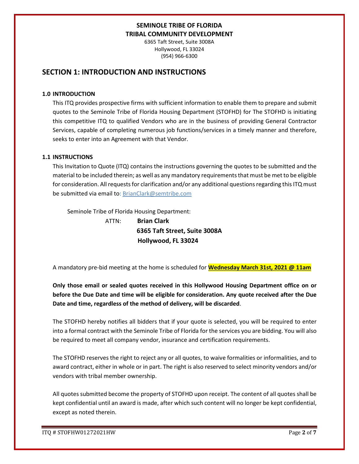6365 Taft Street, Suite 3008A Hollywood, FL 33024 (954) 966-6300

## **SECTION 1: INTRODUCTION AND INSTRUCTIONS**

#### **1.0 INTRODUCTION**

This ITQ provides prospective firms with sufficient information to enable them to prepare and submit quotes to the Seminole Tribe of Florida Housing Department (STOFHD) for The STOFHD is initiating this competitive ITQ to qualified Vendors who are in the business of providing General Contractor Services, capable of completing numerous job functions/services in a timely manner and therefore, seeks to enter into an Agreement with that Vendor.

### **1.1 INSTRUCTIONS**

This Invitation to Quote (ITQ) contains the instructions governing the quotes to be submitted and the material to be included therein; as well as any mandatory requirements that must be met to be eligible for consideration. All requests for clarification and/or any additional questions regarding this ITQ must be submitted via email to: BrianClark@semtribe.com

Seminole Tribe of Florida Housing Department:

 ATTN: **Brian Clark 6365 Taft Street, Suite 3008A Hollywood, FL 33024**

A mandatory pre-bid meeting at the home is scheduled for **Wednesday March 31st, 2021 @ 11am**

**Only those email or sealed quotes received in this Hollywood Housing Department office on or before the Due Date and time will be eligible for consideration. Any quote received after the Due Date and time, regardless of the method of delivery, will be discarded**.

The STOFHD hereby notifies all bidders that if your quote is selected, you will be required to enter into a formal contract with the Seminole Tribe of Florida for the services you are bidding. You will also be required to meet all company vendor, insurance and certification requirements.

The STOFHD reserves the right to reject any or all quotes, to waive formalities or informalities, and to award contract, either in whole or in part. The right is also reserved to select minority vendors and/or vendors with tribal member ownership.

All quotes submitted become the property of STOFHD upon receipt. The content of all quotes shall be kept confidential until an award is made, after which such content will no longer be kept confidential, except as noted therein.

ITQ # STOFHW01272021HW Page **2** of **7**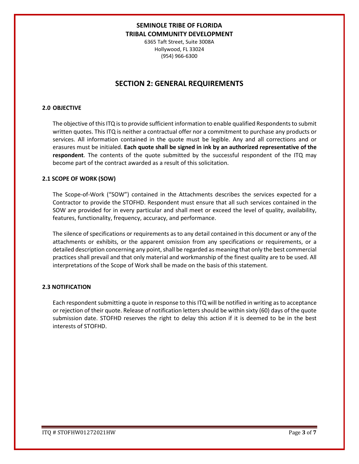6365 Taft Street, Suite 3008A Hollywood, FL 33024 (954) 966-6300

## **SECTION 2: GENERAL REQUIREMENTS**

#### **2.0 OBJECTIVE**

The objective of this ITQ is to provide sufficient information to enable qualified Respondents to submit written quotes. This ITQ is neither a contractual offer nor a commitment to purchase any products or services. All information contained in the quote must be legible. Any and all corrections and or erasures must be initialed. **Each quote shall be signed in ink by an authorized representative of the respondent**. The contents of the quote submitted by the successful respondent of the ITQ may become part of the contract awarded as a result of this solicitation.

#### **2.1 SCOPE OF WORK (SOW)**

The Scope-of-Work ("SOW") contained in the Attachments describes the services expected for a Contractor to provide the STOFHD. Respondent must ensure that all such services contained in the SOW are provided for in every particular and shall meet or exceed the level of quality, availability, features, functionality, frequency, accuracy, and performance.

The silence of specifications or requirements as to any detail contained in this document or any of the attachments or exhibits, or the apparent omission from any specifications or requirements, or a detailed description concerning any point, shall be regarded as meaning that only the best commercial practices shall prevail and that only material and workmanship of the finest quality are to be used. All interpretations of the Scope of Work shall be made on the basis of this statement.

#### **2.3 NOTIFICATION**

Each respondent submitting a quote in response to this ITQ will be notified in writing as to acceptance or rejection of their quote. Release of notification letters should be within sixty (60) days of the quote submission date. STOFHD reserves the right to delay this action if it is deemed to be in the best interests of STOFHD.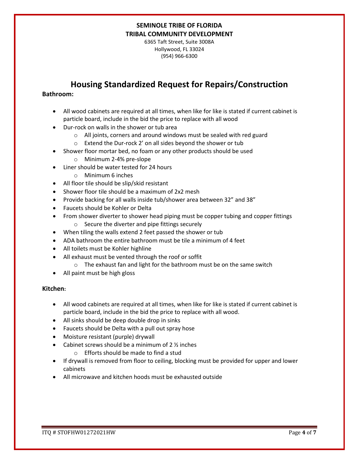6365 Taft Street, Suite 3008A Hollywood, FL 33024 (954) 966-6300

# **Housing Standardized Request for Repairs/Construction**

### **Bathroom:**

- All wood cabinets are required at all times, when like for like is stated if current cabinet is particle board, include in the bid the price to replace with all wood
- Dur-rock on walls in the shower or tub area
	- o All joints, corners and around windows must be sealed with red guard
	- o Extend the Dur-rock 2' on all sides beyond the shower or tub
- Shower floor mortar bed, no foam or any other products should be used
	- o Minimum 2-4% pre-slope
- Liner should be water tested for 24 hours
	- o Minimum 6 inches
- All floor tile should be slip/skid resistant
- Shower floor tile should be a maximum of 2x2 mesh
- Provide backing for all walls inside tub/shower area between 32" and 38"
- Faucets should be Kohler or Delta
- From shower diverter to shower head piping must be copper tubing and copper fittings
	- o Secure the diverter and pipe fittings securely
- When tiling the walls extend 2 feet passed the shower or tub
- ADA bathroom the entire bathroom must be tile a minimum of 4 feet
- All toilets must be Kohler highline
- All exhaust must be vented through the roof or soffit
	- o The exhaust fan and light for the bathroom must be on the same switch
- All paint must be high gloss

### **Kitchen:**

- All wood cabinets are required at all times, when like for like is stated if current cabinet is particle board, include in the bid the price to replace with all wood.
- All sinks should be deep double drop in sinks
- Faucets should be Delta with a pull out spray hose
- Moisture resistant (purple) drywall
- Cabinet screws should be a minimum of  $2 \frac{1}{2}$  inches
	- o Efforts should be made to find a stud
- If drywall is removed from floor to ceiling, blocking must be provided for upper and lower cabinets
- All microwave and kitchen hoods must be exhausted outside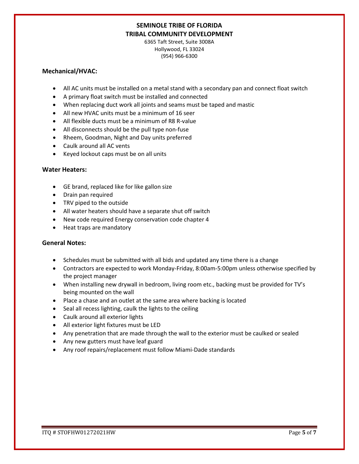6365 Taft Street, Suite 3008A Hollywood, FL 33024 (954) 966-6300

#### **Mechanical/HVAC:**

- All AC units must be installed on a metal stand with a secondary pan and connect float switch
- A primary float switch must be installed and connected
- When replacing duct work all joints and seams must be taped and mastic
- All new HVAC units must be a minimum of 16 seer
- All flexible ducts must be a minimum of R8 R-value
- All disconnects should be the pull type non-fuse
- Rheem, Goodman, Night and Day units preferred
- Caulk around all AC vents
- Keyed lockout caps must be on all units

### **Water Heaters:**

- GE brand, replaced like for like gallon size
- Drain pan required
- TRV piped to the outside
- All water heaters should have a separate shut off switch
- New code required Energy conservation code chapter 4
- Heat traps are mandatory

### **General Notes:**

- Schedules must be submitted with all bids and updated any time there is a change
- Contractors are expected to work Monday-Friday, 8:00am-5:00pm unless otherwise specified by the project manager
- When installing new drywall in bedroom, living room etc., backing must be provided for TV's being mounted on the wall
- Place a chase and an outlet at the same area where backing is located
- Seal all recess lighting, caulk the lights to the ceiling
- Caulk around all exterior lights
- All exterior light fixtures must be LED
- Any penetration that are made through the wall to the exterior must be caulked or sealed
- Any new gutters must have leaf guard
- Any roof repairs/replacement must follow Miami-Dade standards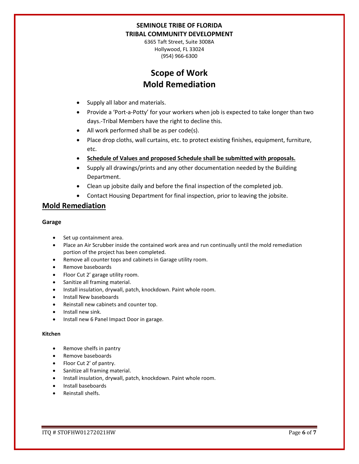6365 Taft Street, Suite 3008A Hollywood, FL 33024 (954) 966-6300

# **Scope of Work Mold Remediation**

- Supply all labor and materials.
- Provide a 'Port-a-Potty' for your workers when job is expected to take longer than two days.-Tribal Members have the right to decline this.
- All work performed shall be as per code(s).
- Place drop cloths, wall curtains, etc. to protect existing finishes, equipment, furniture, etc.
- **Schedule of Values and proposed Schedule shall be submitted with proposals.**
- Supply all drawings/prints and any other documentation needed by the Building Department.
- Clean up jobsite daily and before the final inspection of the completed job.
- Contact Housing Department for final inspection, prior to leaving the jobsite.

## **Mold Remediation**

#### **Garage**

- Set up containment area.
- Place an Air Scrubber inside the contained work area and run continually until the mold remediation portion of the project has been completed.
- Remove all counter tops and cabinets in Garage utility room.
- Remove baseboards
- Floor Cut 2' garage utility room.
- Sanitize all framing material.
- Install insulation, drywall, patch, knockdown. Paint whole room.
- Install New baseboards
- Reinstall new cabinets and counter top.
- Install new sink.
- Install new 6 Panel Impact Door in garage.

#### **Kitchen**

- Remove shelfs in pantry
- Remove baseboards
- Floor Cut 2' of pantry.
- Sanitize all framing material.
- Install insulation, drywall, patch, knockdown. Paint whole room.
- Install baseboards
- Reinstall shelfs.